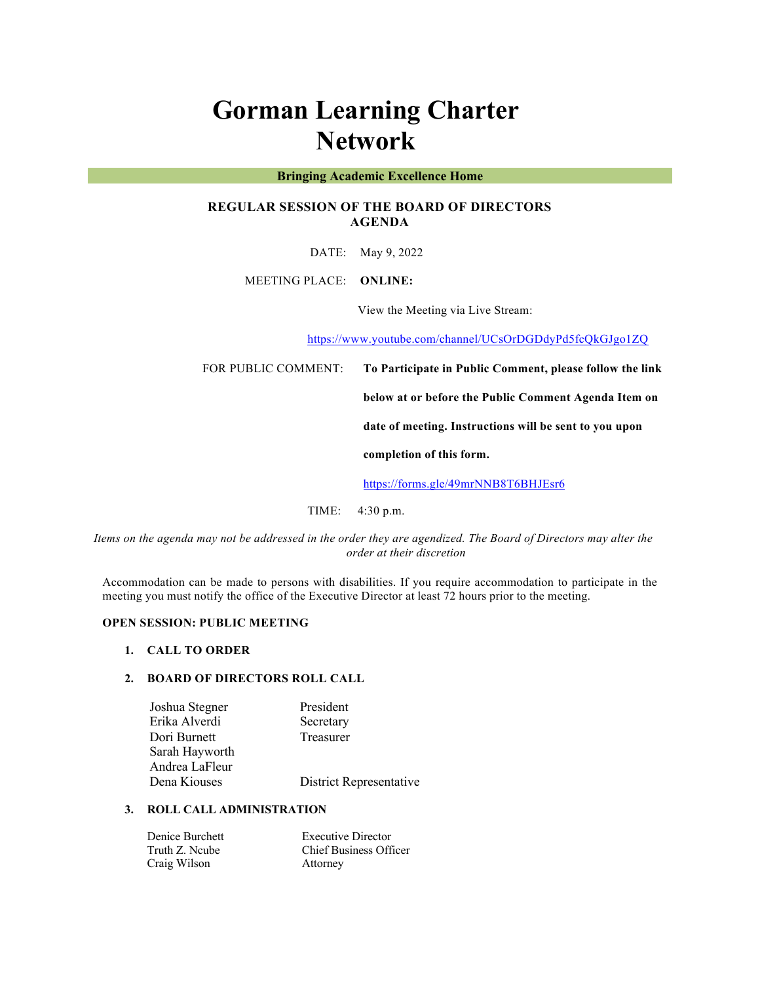# **Gorman Learning Charter Network**

#### **Bringing Academic Excellence Home**

## **REGULAR SESSION OF THE BOARD OF DIRECTORS AGENDA**

DATE: May 9, 2022

MEETING PLACE: **ONLINE:** 

View the Meeting via Live Stream:

https://www.youtube.com/channel/UCsOrDGDdyPd5fcQkGJgo1ZQ

FOR PUBLIC COMMENT: **To Participate in Public Comment, please follow the link** 

**below at or before the Public Comment Agenda Item on** 

**date of meeting. Instructions will be sent to you upon** 

**completion of this form.**

https://forms.gle/49mrNNB8T6BHJEsr6

TIME: 4:30 p.m.

*Items on the agenda may not be addressed in the order they are agendized. The Board of Directors may alter the order at their discretion*

Accommodation can be made to persons with disabilities. If you require accommodation to participate in the meeting you must notify the office of the Executive Director at least 72 hours prior to the meeting.

## **OPEN SESSION: PUBLIC MEETING**

#### **1. CALL TO ORDER**

## **2. BOARD OF DIRECTORS ROLL CALL**

| Joshua Stegner | President               |
|----------------|-------------------------|
| Erika Alverdi  | Secretary               |
| Dori Burnett   | Treasurer               |
| Sarah Hayworth |                         |
| Andrea LaFleur |                         |
| Dena Kiouses   | District Representative |
|                |                         |

#### **3. ROLL CALL ADMINISTRATION**

| Denice Burchett | <b>Executive Director</b>     |
|-----------------|-------------------------------|
| Truth Z. Ncube  | <b>Chief Business Officer</b> |
| Craig Wilson    | Attorney                      |